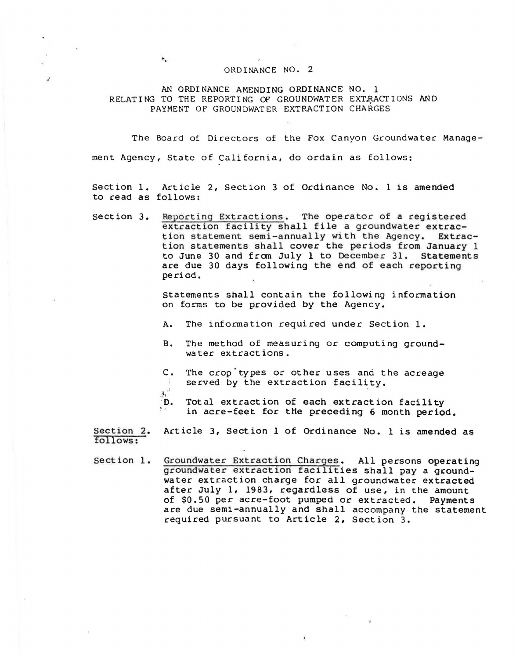## ORDINANCE NO. 2

AN ORDINANCE AMENDING ORDINANCE NO. 1 RELATING TO THE REPORTING OF GROUNDWATER EXTRACTIONS AND PAYMENT OF GROUNDWATER EXTRACTION CHARGES

The Board of Directors of the Fox Canyon Groundwater Management Agency, State of California, do ordain as follows:

section 1. Article 2, Section 3 of Ordinance No. 1 is amended to read as follows:

section 3. Reporting Extractions. The operator of a registered extraction facility shall file a groundwater extraction statement semi-annually with the Agency. Extraction statements shall cover the periods from January 1 to June 30 and from July 1 to December 31. Statements are due 30 days following the end of each reporting period.

> statements shall contain the following information on forms to be provided by the Agency.

- A. The information required under Section 1.
- B. The method of measuring or computing groundwater extractions.
- c. The crop'types or other uses and the acreage served by the extraction facility.
- $\mathbf{A}^{\text{eff}}$

 $\ddot{\phantom{a}}$ 

;0. *'i '*  Total extraction of each extraction facility in acre-feet for tHe preceding 6 month period.

Section 2. Article 3, Section 1 of Ordinance No. 1 is amended as follows:

section 1. Groundwater Extraction Charges. All persons operating groundwater extraction facilities shall pay a groundwater extraction charge for all groundwater extracted after July 1, 1983, regardless of use, in the amount of \$0.50 per acre-foot pumped or extracted. Payments are due semi-annually and shall accompany the statement required pursuant to Article 2, Section 3.